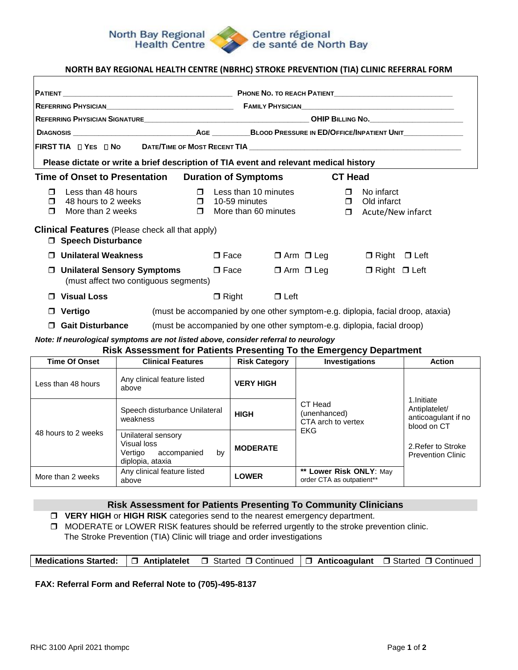#### **North Bay Regional Health Centre**

#### Centre régional de santé de North Bay

# **NORTH BAY REGIONAL HEALTH CENTRE (NBRHC) STROKE PREVENTION (TIA) CLINIC REFERRAL FORM**

| Please dictate or write a brief description of TIA event and relevant medical history                  |                                                                                                                                                             |  |  |  |  |  |  |  |
|--------------------------------------------------------------------------------------------------------|-------------------------------------------------------------------------------------------------------------------------------------------------------------|--|--|--|--|--|--|--|
| <b>Time of Onset to Presentation</b>                                                                   | <b>Duration of Symptoms</b><br><b>CT Head</b>                                                                                                               |  |  |  |  |  |  |  |
| Less than 48 hours<br>$\Box$<br>48 hours to 2 weeks<br>$\Box$<br>More than 2 weeks<br>$\Box$<br>$\Box$ | $\Box$ Less than 10 minutes<br>$\Box$<br>No infarct<br>$\Box$ 10-59 minutes<br>Old infarct<br>$\Box$<br>More than 60 minutes<br>Acute/New infarct<br>$\Box$ |  |  |  |  |  |  |  |
| <b>Clinical Features</b> (Please check all that apply)<br><b>Speech Disturbance</b>                    |                                                                                                                                                             |  |  |  |  |  |  |  |
| <b>Unilateral Weakness</b><br>$\Box$                                                                   | $\square$ Face<br>$\Box$ Arm $\Box$ Leg<br>$\Box$ Right $\Box$ Left                                                                                         |  |  |  |  |  |  |  |
| <b>Unilateral Sensory Symptoms</b><br>(must affect two contiguous segments)                            | $\square$ Face<br>$\Box$ Arm $\Box$ Leg<br>$\Box$ Right $\Box$ Left                                                                                         |  |  |  |  |  |  |  |
| <b>Visual Loss</b>                                                                                     | $\Box$ Right<br>$\Box$ Left                                                                                                                                 |  |  |  |  |  |  |  |
| Vertigo<br>$\Box$                                                                                      | (must be accompanied by one other symptom-e.g. diplopia, facial droop, ataxia)                                                                              |  |  |  |  |  |  |  |
| <b>Gait Disturbance</b><br>$\Box$                                                                      | (must be accompanied by one other symptom-e.g. diplopia, facial droop)                                                                                      |  |  |  |  |  |  |  |

*Note: If neurological symptoms are not listed above, consider referral to neurology* 

# **Risk Assessment for Patients Presenting To the Emergency Department**

| <b>Time Of Onset</b> | <b>Clinical Features</b>                                                              | <b>Risk Category</b> | <b>Investigations</b>                                | <b>Action</b>                                                     |
|----------------------|---------------------------------------------------------------------------------------|----------------------|------------------------------------------------------|-------------------------------------------------------------------|
| Less than 48 hours   | Any clinical feature listed<br>above                                                  | <b>VERY HIGH</b>     |                                                      |                                                                   |
| 48 hours to 2 weeks  | Speech disturbance Unilateral<br>weakness                                             | <b>HIGH</b>          | CT Head<br>(unenhanced)<br>CTA arch to vertex        | 1.Initiate<br>Antiplatelet/<br>anticoagulant if no<br>blood on CT |
|                      | Unilateral sensory<br>Visual loss<br>bv<br>Vertigo<br>accompanied<br>diplopia, ataxia | <b>MODERATE</b>      | EKG                                                  | 2. Refer to Stroke<br><b>Prevention Clinic</b>                    |
| More than 2 weeks    | Any clinical feature listed<br>above                                                  | <b>LOWER</b>         | ** Lower Risk ONLY: May<br>order CTA as outpatient** |                                                                   |

## **Risk Assessment for Patients Presenting To Community Clinicians**

**VERY HIGH** or **HIGH RISK** categories send to the nearest emergency department.

**I** MODERATE or LOWER RISK features should be referred urgently to the stroke prevention clinic.

The Stroke Prevention (TIA) Clinic will triage and order investigations

|  |  | <b>Medications Started:</b> $\Box$ Antiplatelet $\Box$ Started $\Box$ Continued $\Box$ Anticoagulant $\Box$ Started $\Box$ Continued |  |  |
|--|--|--------------------------------------------------------------------------------------------------------------------------------------|--|--|
|--|--|--------------------------------------------------------------------------------------------------------------------------------------|--|--|

## **FAX: Referral Form and Referral Note to (705)-495-8137**